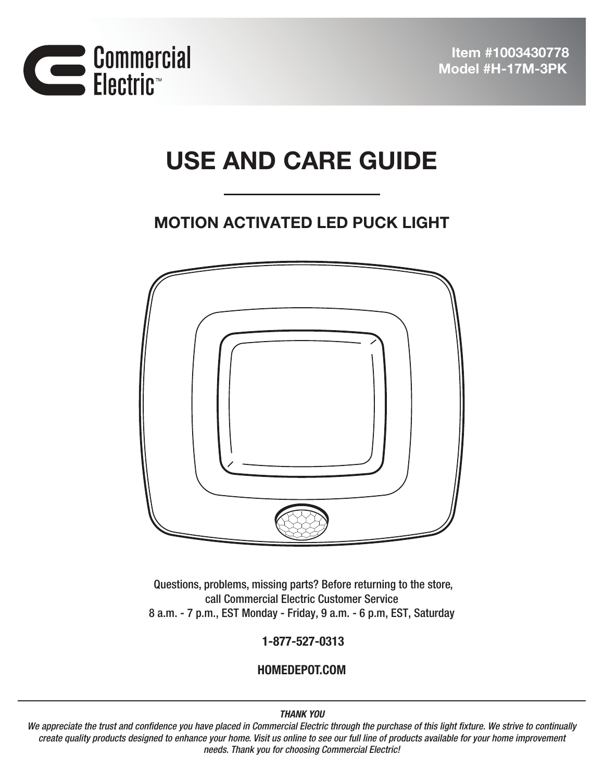



# USE AND CARE GUIDE

## MOTION ACTIVATED LED PUCK LIGHT



Questions, problems, missing parts? Before returning to the store, call Commercial Electric Customer Service 8 a.m. - 7 p.m., EST Monday - Friday, 9 a.m. - 6 p.m, EST, Saturday

1-877-527-0313

HOMEDEPOT.COM

#### THANK YOU

*We appreciate the trust and confidence you have placed in Commercial Electric through the purchase of this light fixture. We strive to continually create quality products designed to enhance your home. Visit us online to see our full line of products available for your home improvement needs. Thank you for choosing Commercial Electric!*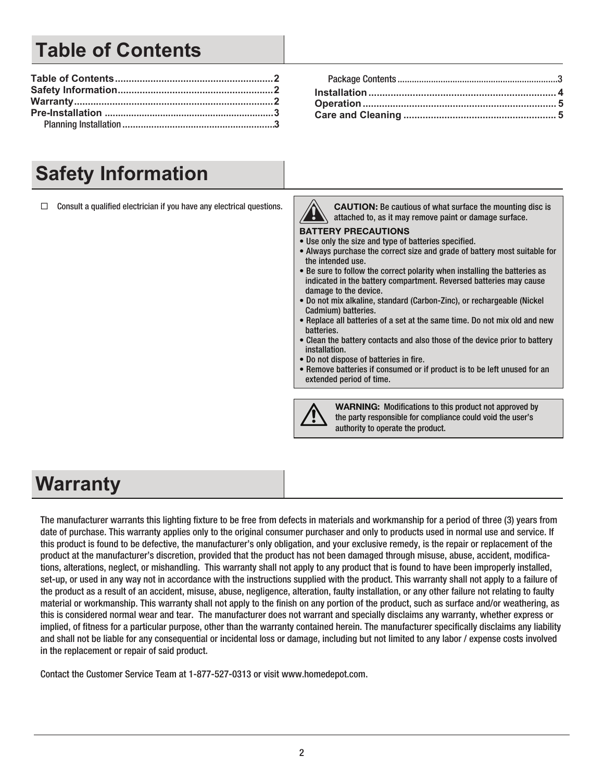# **Table of Contents**

#### **Table of Contents..........................................................2** Package Contents ...................................................................3 **Safety Information.........................................................2 Installation.................................................................... 4 Warranty.........................................................................2 Operation....................................................................... 5 Pre-Installation ................................................................3 Care and Cleaning ........................................................ 5**

# **Safety Information**

 $\Box$  Consult a qualified electrician if you have any electrical questions.

CAUTION: Be cautious of what surface the mounting disc is attached to, as it may remove paint or damage surface.

#### BATTERY PRECAUTIONS

- Use only the size and type of batteries specified.
- Always purchase the correct size and grade of battery most suitable for the intended use.
- Be sure to follow the correct polarity when installing the batteries as indicated in the battery compartment. Reversed batteries may cause damage to the device.
- Do not mix alkaline, standard (Carbon-Zinc), or rechargeable (Nickel Cadmium) batteries.
- Replace all batteries of a set at the same time. Do not mix old and new batteries.
- Clean the battery contacts and also those of the device prior to battery installation.
- Do not dispose of batteries in fire.
- Remove batteries if consumed or if product is to be left unused for an extended period of time.



WARNING: Modifications to this product not approved by the party responsible for compliance could void the user's authority to operate the product.

## **Warranty**

The manufacturer warrants this lighting fixture to be free from defects in materials and workmanship for a period of three (3) years from date of purchase. This warranty applies only to the original consumer purchaser and only to products used in normal use and service. If this product is found to be defective, the manufacturer's only obligation, and your exclusive remedy, is the repair or replacement of the product at the manufacturer's discretion, provided that the product has not been damaged through misuse, abuse, accident, modifications, alterations, neglect, or mishandling. This warranty shall not apply to any product that is found to have been improperly installed, set-up, or used in any way not in accordance with the instructions supplied with the product. This warranty shall not apply to a failure of the product as a result of an accident, misuse, abuse, negligence, alteration, faulty installation, or any other failure not relating to faulty material or workmanship. This warranty shall not apply to the finish on any portion of the product, such as surface and/or weathering, as this is considered normal wear and tear. The manufacturer does not warrant and specially disclaims any warranty, whether express or implied, of fitness for a particular purpose, other than the warranty contained herein. The manufacturer specifically disclaims any liability and shall not be liable for any consequential or incidental loss or damage, including but not limited to any labor / expense costs involved in the replacement or repair of said product.

Contact the Customer Service Team at 1-877-527-0313 or visit www.homedepot.com.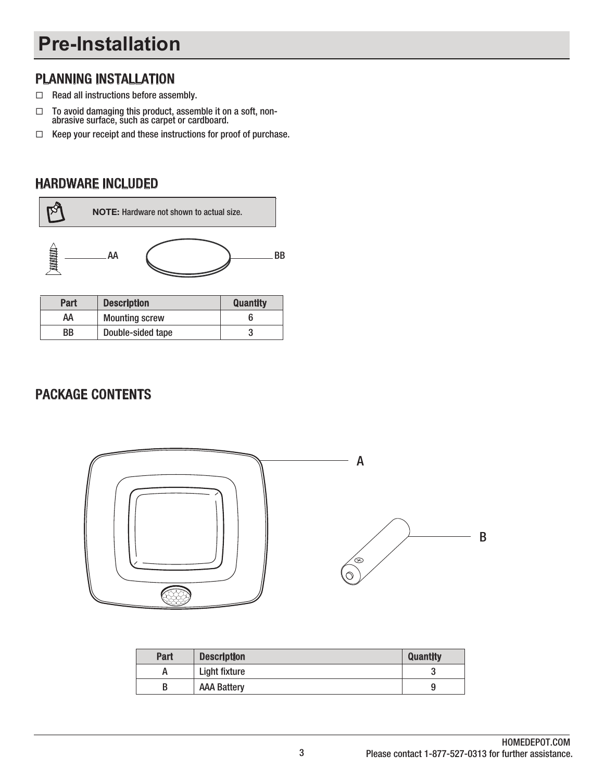# **Pre-Installation**

### PLANNING INSTALLATION

- $\Box$  Read all instructions before assembly.
- $\Box$  To avoid damaging this product, assemble it on a soft, nonabrasive surface, such as carpet or cardboard.
- $\Box$  Keep your receipt and these instructions for proof of purchase.

### HARDWARE INCLUDED



| Part | <b>Description</b>    | <b>Quantity</b> |
|------|-----------------------|-----------------|
| АΑ   | <b>Mounting screw</b> |                 |
| ВB   | Double-sided tape     |                 |

### PACKAGE CONTENTS



| Part | <b>Description</b> | <b>Quantity</b> |
|------|--------------------|-----------------|
|      | Light fixture      | υ               |
|      | <b>AAA Battery</b> | ч               |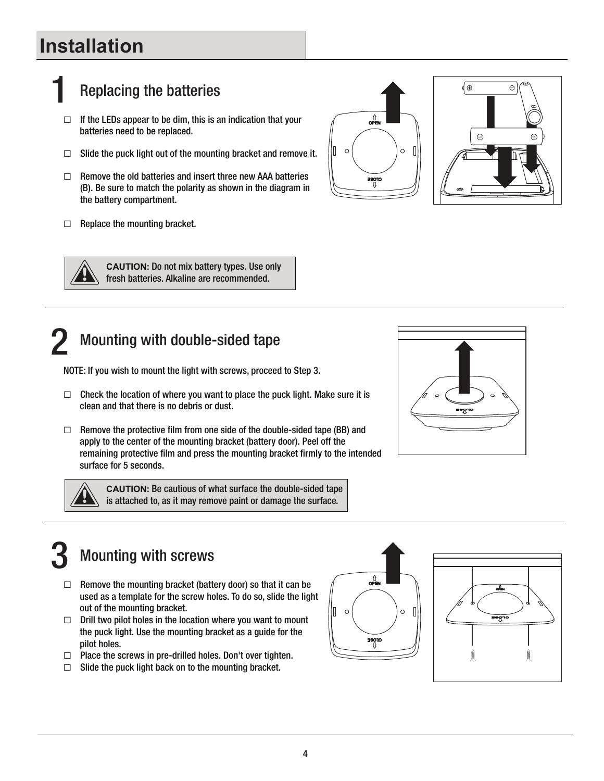# **Installation**

# **Replacing the batteries**

- $\Box$  If the LEDs appear to be dim, this is an indication that your batteries need to be replaced.
- $\Box$  Slide the puck light out of the mounting bracket and remove it.
- $\Box$  Remove the old batteries and insert three new AAA batteries (B). Be sure to match the polarity as shown in the diagram in the battery compartment.
- $\Box$  Replace the mounting bracket.







**CAUTION:** Do not mix battery types. Use only fresh batteries. Alkaline are recommended.

## Mounting with double-sided tape

NOTE: If you wish to mount the light with screws, proceed to Step 3.

- $\Box$  Check the location of where you want to place the puck light. Make sure it is clean and that there is no debris or dust.
- $\Box$  Remove the protective film from one side of the double-sided tape (BB) and apply to the center of the mounting bracket (battery door). Peel off the remaining protective film and press the mounting bracket firmly to the intended surface for 5 seconds.



**CAUTION:** Be cautious of what surface the double-sided tape  $\setminus$  is attached to, as it may remove paint or damage the surface.



# **Mounting with screws**

- $\Box$  Remove the mounting bracket (battery door) so that it can be used as a template for the screw holes. To do so, slide the light out of the mounting bracket.
- $\Box$  Drill two pilot holes in the location where you want to mount the puck light. Use the mounting bracket as a guide for the pilot holes.
- $\Box$  Place the screws in pre-drilled holes. Don't over tighten.
- $\Box$  Slide the puck light back on to the mounting bracket.



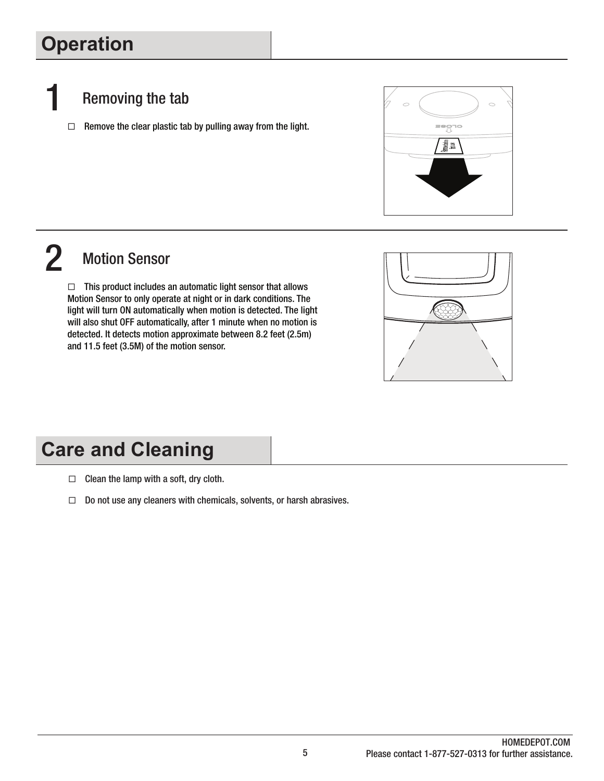# **Operation**

- Removing the tab
	- $\Box$  Remove the clear plastic tab by pulling away from the light.



# 2 Motion Sensor

 $\Box$  This product includes an automatic light sensor that allows Motion Sensor to only operate at night or in dark conditions. The light will turn ON automatically when motion is detected. The light will also shut OFF automatically, after 1 minute when no motion is detected. It detects motion approximate between 8.2 feet (2.5m) and 11.5 feet (3.5M) of the motion sensor.



# **Care and Cleaning**

- $\Box$  Clean the lamp with a soft, dry cloth.
- $\Box$  Do not use any cleaners with chemicals, solvents, or harsh abrasives.